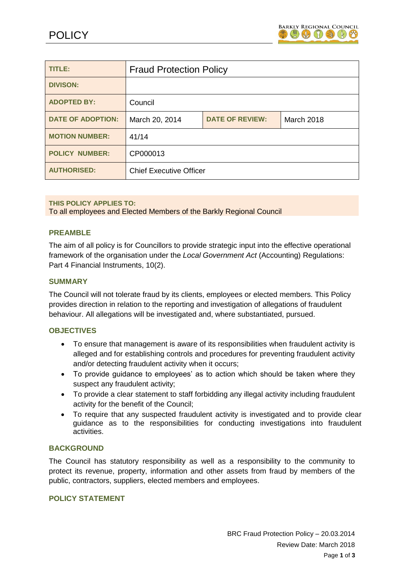

| TITLE:                   | <b>Fraud Protection Policy</b> |                        |                   |
|--------------------------|--------------------------------|------------------------|-------------------|
| <b>DIVISON:</b>          |                                |                        |                   |
| <b>ADOPTED BY:</b>       | Council                        |                        |                   |
| <b>DATE OF ADOPTION:</b> | March 20, 2014                 | <b>DATE OF REVIEW:</b> | <b>March 2018</b> |
| <b>MOTION NUMBER:</b>    | 41/14                          |                        |                   |
| <b>POLICY NUMBER:</b>    | CP000013                       |                        |                   |
| <b>AUTHORISED:</b>       | <b>Chief Executive Officer</b> |                        |                   |

**THIS POLICY APPLIES TO:** To all employees and Elected Members of the Barkly Regional Council

## **PREAMBLE**

The aim of all policy is for Councillors to provide strategic input into the effective operational framework of the organisation under the *Local Government Act* (Accounting) Regulations: Part 4 Financial Instruments, 10(2).

#### **SUMMARY**

The Council will not tolerate fraud by its clients, employees or elected members. This Policy provides direction in relation to the reporting and investigation of allegations of fraudulent behaviour. All allegations will be investigated and, where substantiated, pursued.

#### **OBJECTIVES**

- To ensure that management is aware of its responsibilities when fraudulent activity is alleged and for establishing controls and procedures for preventing fraudulent activity and/or detecting fraudulent activity when it occurs;
- To provide guidance to employees' as to action which should be taken where they suspect any fraudulent activity;
- To provide a clear statement to staff forbidding any illegal activity including fraudulent activity for the benefit of the Council;
- To require that any suspected fraudulent activity is investigated and to provide clear guidance as to the responsibilities for conducting investigations into fraudulent activities.

#### **BACKGROUND**

The Council has statutory responsibility as well as a responsibility to the community to protect its revenue, property, information and other assets from fraud by members of the public, contractors, suppliers, elected members and employees.

### **POLICY STATEMENT**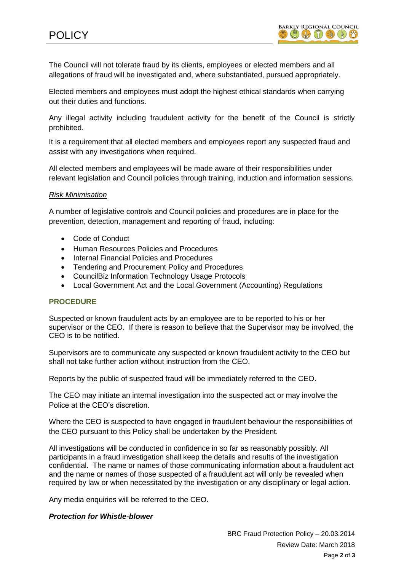The Council will not tolerate fraud by its clients, employees or elected members and all allegations of fraud will be investigated and, where substantiated, pursued appropriately.

Elected members and employees must adopt the highest ethical standards when carrying out their duties and functions.

Any illegal activity including fraudulent activity for the benefit of the Council is strictly prohibited.

It is a requirement that all elected members and employees report any suspected fraud and assist with any investigations when required.

All elected members and employees will be made aware of their responsibilities under relevant legislation and Council policies through training, induction and information sessions.

### *Risk Minimisation*

A number of legislative controls and Council policies and procedures are in place for the prevention, detection, management and reporting of fraud, including:

- Code of Conduct
- Human Resources Policies and Procedures
- Internal Financial Policies and Procedures
- Tendering and Procurement Policy and Procedures
- CouncilBiz Information Technology Usage Protocols
- Local Government Act and the Local Government (Accounting) Regulations

## **PROCEDURE**

Suspected or known fraudulent acts by an employee are to be reported to his or her supervisor or the CEO. If there is reason to believe that the Supervisor may be involved, the CEO is to be notified.

Supervisors are to communicate any suspected or known fraudulent activity to the CEO but shall not take further action without instruction from the CEO.

Reports by the public of suspected fraud will be immediately referred to the CEO.

The CEO may initiate an internal investigation into the suspected act or may involve the Police at the CEO's discretion.

Where the CEO is suspected to have engaged in fraudulent behaviour the responsibilities of the CEO pursuant to this Policy shall be undertaken by the President.

All investigations will be conducted in confidence in so far as reasonably possibly. All participants in a fraud investigation shall keep the details and results of the investigation confidential. The name or names of those communicating information about a fraudulent act and the name or names of those suspected of a fraudulent act will only be revealed when required by law or when necessitated by the investigation or any disciplinary or legal action.

Any media enquiries will be referred to the CEO.

### *Protection for Whistle-blower*